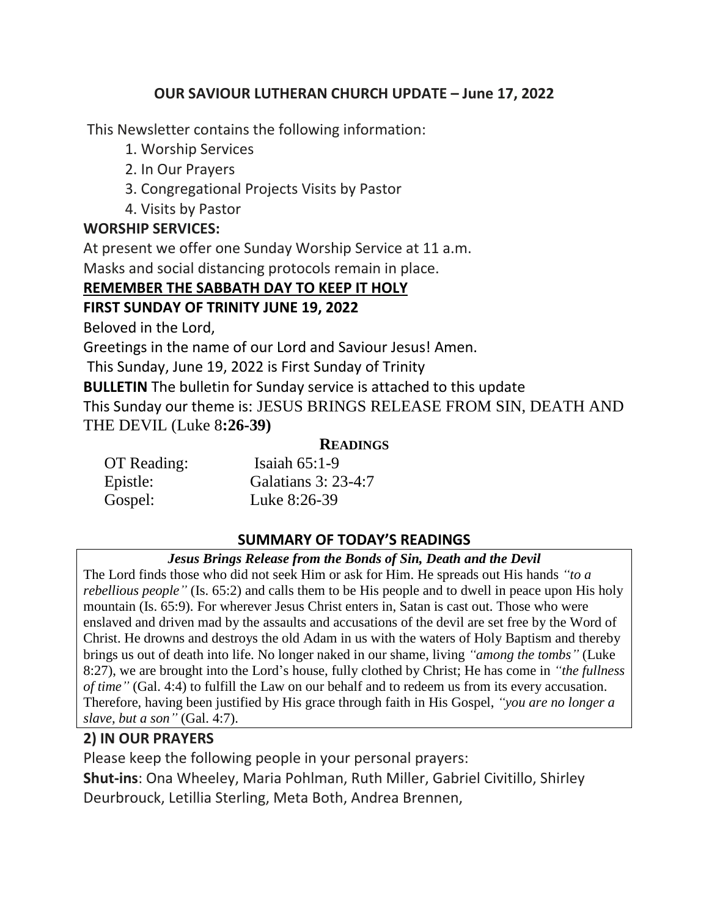### **OUR SAVIOUR LUTHERAN CHURCH UPDATE – June 17, 2022**

This Newsletter contains the following information:

- 1. Worship Services
- 2. In Our Prayers
- 3. Congregational Projects Visits by Pastor
- 4. Visits by Pastor

## **WORSHIP SERVICES:**

At present we offer one Sunday Worship Service at 11 a.m.

Masks and social distancing protocols remain in place.

## **REMEMBER THE SABBATH DAY TO KEEP IT HOLY**

## **FIRST SUNDAY OF TRINITY JUNE 19, 2022**

Beloved in the Lord,

Greetings in the name of our Lord and Saviour Jesus! Amen.

This Sunday, June 19, 2022 is First Sunday of Trinity

**BULLETIN** The bulletin for Sunday service is attached to this update This Sunday our theme is: JESUS BRINGS RELEASE FROM SIN, DEATH AND THE DEVIL (Luke 8**:26-39)**

#### **READINGS**

| OT Reading: | Isaiah $65:1-9$     |
|-------------|---------------------|
| Epistle:    | Galatians 3: 23-4:7 |
| Gospel:     | Luke 8:26-39        |

## **SUMMARY OF TODAY'S READINGS**

#### *Jesus Brings Release from the Bonds of Sin, Death and the Devil*

The Lord finds those who did not seek Him or ask for Him. He spreads out His hands *"to a rebellious people*" (Is. 65:2) and calls them to be His people and to dwell in peace upon His holy mountain (Is. 65:9). For wherever Jesus Christ enters in, Satan is cast out. Those who were enslaved and driven mad by the assaults and accusations of the devil are set free by the Word of Christ. He drowns and destroys the old Adam in us with the waters of Holy Baptism and thereby brings us out of death into life. No longer naked in our shame, living *"among the tombs"* (Luke 8:27), we are brought into the Lord's house, fully clothed by Christ; He has come in *"the fullness of time"* (Gal. 4:4) to fulfill the Law on our behalf and to redeem us from its every accusation. Therefore, having been justified by His grace through faith in His Gospel, *"you are no longer a slave, but a son"* (Gal. 4:7).

## **2) IN OUR PRAYERS**

Please keep the following people in your personal prayers: **Shut-ins**: Ona Wheeley, Maria Pohlman, Ruth Miller, Gabriel Civitillo, Shirley Deurbrouck, Letillia Sterling, Meta Both, Andrea Brennen,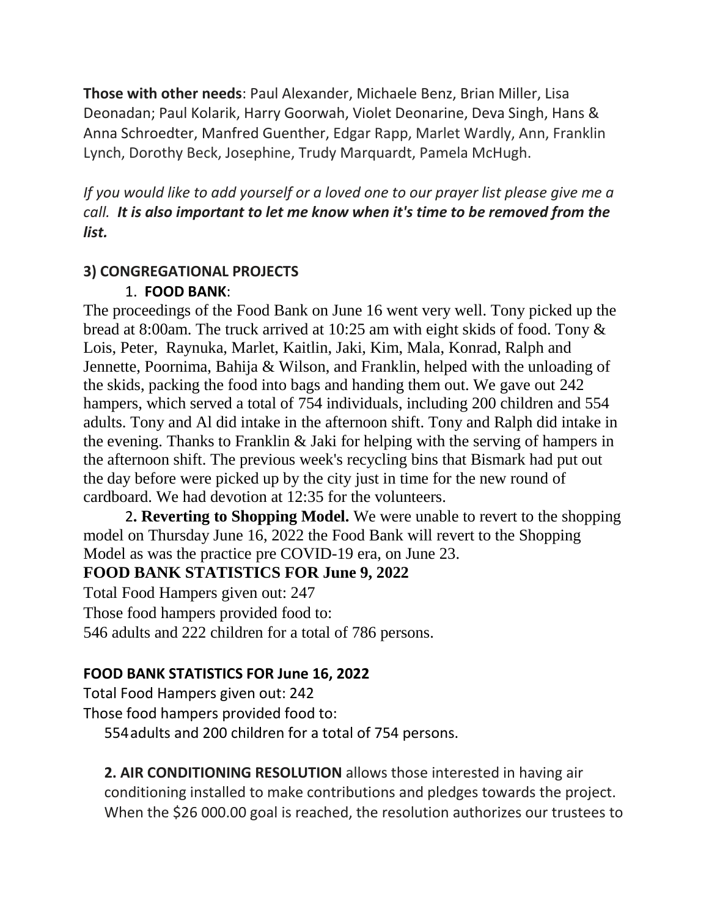**Those with other needs**: Paul Alexander, Michaele Benz, Brian Miller, Lisa Deonadan; Paul Kolarik, Harry Goorwah, Violet Deonarine, Deva Singh, Hans & Anna Schroedter, Manfred Guenther, Edgar Rapp, Marlet Wardly, Ann, Franklin Lynch, Dorothy Beck, Josephine, Trudy Marquardt, Pamela McHugh.

*If you would like to add yourself or a loved one to our prayer list please give me a call. It is also important to let me know when it's time to be removed from the list.*

#### **3) CONGREGATIONAL PROJECTS**

#### 1. **FOOD BANK**:

The proceedings of the Food Bank on June 16 went very well. Tony picked up the bread at 8:00am. The truck arrived at 10:25 am with eight skids of food. Tony & Lois, Peter, Raynuka, Marlet, Kaitlin, Jaki, Kim, Mala, Konrad, Ralph and Jennette, Poornima, Bahija & Wilson, and Franklin, helped with the unloading of the skids, packing the food into bags and handing them out. We gave out 242 hampers, which served a total of 754 individuals, including 200 children and 554 adults. Tony and Al did intake in the afternoon shift. Tony and Ralph did intake in the evening. Thanks to Franklin & Jaki for helping with the serving of hampers in the afternoon shift. The previous week's recycling bins that Bismark had put out the day before were picked up by the city just in time for the new round of cardboard. We had devotion at 12:35 for the volunteers.

2**. Reverting to Shopping Model.** We were unable to revert to the shopping model on Thursday June 16, 2022 the Food Bank will revert to the Shopping Model as was the practice pre COVID-19 era, on June 23.

#### **FOOD BANK STATISTICS FOR June 9, 2022**

Total Food Hampers given out: 247 Those food hampers provided food to: 546 adults and 222 children for a total of 786 persons.

#### **FOOD BANK STATISTICS FOR June 16, 2022**

Total Food Hampers given out: 242

Those food hampers provided food to:

554adults and 200 children for a total of 754 persons.

**2. AIR CONDITIONING RESOLUTION** allows those interested in having air conditioning installed to make contributions and pledges towards the project. When the \$26 000.00 goal is reached, the resolution authorizes our trustees to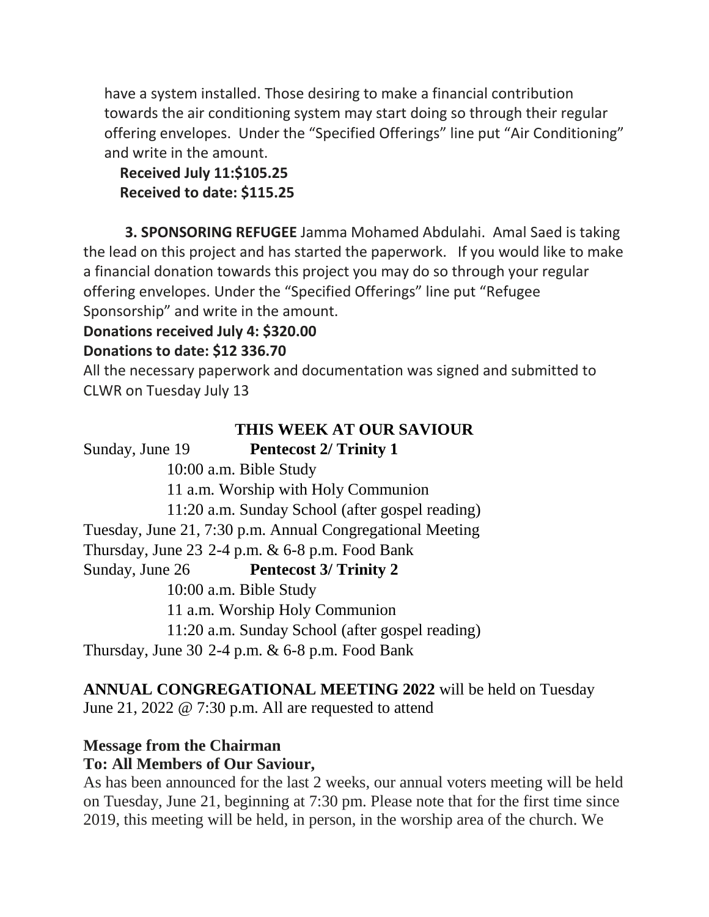have a system installed. Those desiring to make a financial contribution towards the air conditioning system may start doing so through their regular offering envelopes. Under the "Specified Offerings" line put "Air Conditioning" and write in the amount.

## **Received July 11:\$105.25 Received to date: \$115.25**

**3. SPONSORING REFUGEE** Jamma Mohamed Abdulahi. Amal Saed is taking the lead on this project and has started the paperwork. If you would like to make a financial donation towards this project you may do so through your regular offering envelopes. Under the "Specified Offerings" line put "Refugee Sponsorship" and write in the amount.

# **Donations received July 4: \$320.00**

## **Donations to date: \$12 336.70**

All the necessary paperwork and documentation was signed and submitted to CLWR on Tuesday July 13

# **THIS WEEK AT OUR SAVIOUR**

Sunday, June 19 **Pentecost 2/ Trinity 1** 10:00 a.m. Bible Study 11 a.m. Worship with Holy Communion 11:20 a.m. Sunday School (after gospel reading) Tuesday, June 21, 7:30 p.m. Annual Congregational Meeting Thursday, June  $23$  2-4 p.m.  $\&$  6-8 p.m. Food Bank Sunday, June 26 **Pentecost 3/ Trinity 2**  10:00 a.m. Bible Study 11 a.m. Worship Holy Communion 11:20 a.m. Sunday School (after gospel reading) Thursday, June 30 2-4 p.m.  $\&$  6-8 p.m. Food Bank

## **ANNUAL CONGREGATIONAL MEETING 2022** will be held on Tuesday June 21, 2022 @ 7:30 p.m. All are requested to attend

# **Message from the Chairman**

## **To: All Members of Our Saviour,**

As has been announced for the last 2 weeks, our annual voters meeting will be held on Tuesday, June 21, beginning at 7:30 pm. Please note that for the first time since 2019, this meeting will be held, in person, in the worship area of the church. We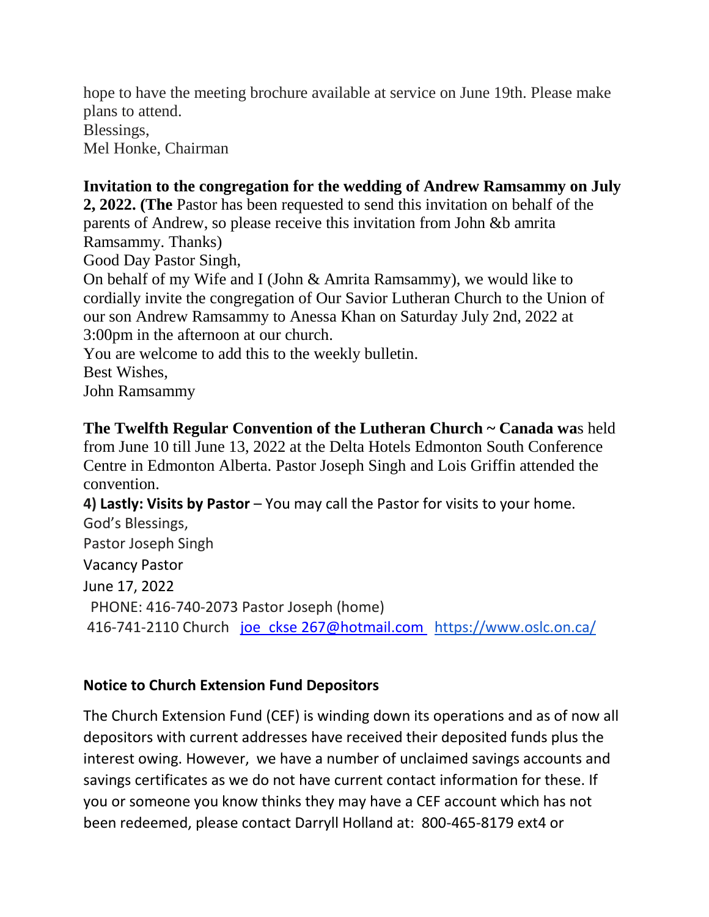hope to have the meeting brochure available at service on June 19th. Please make plans to attend. Blessings, Mel Honke, Chairman

## **Invitation to the congregation for the wedding of Andrew Ramsammy on July**

**2, 2022. (The** Pastor has been requested to send this invitation on behalf of the parents of Andrew, so please receive this invitation from John &b amrita Ramsammy. Thanks)

Good Day Pastor Singh,

On behalf of my Wife and I (John & Amrita Ramsammy), we would like to cordially invite the congregation of Our Savior Lutheran Church to the Union of our son Andrew Ramsammy to Anessa Khan on Saturday July 2nd, 2022 at 3:00pm in the afternoon at our church.

You are welcome to add this to the weekly bulletin. Best Wishes, John Ramsammy

**The Twelfth Regular Convention of the Lutheran Church ~ Canada wa**s held from June 10 till June 13, 2022 at the Delta Hotels Edmonton South Conference Centre in Edmonton Alberta. Pastor Joseph Singh and Lois Griffin attended the convention.

**4) Lastly: Visits by Pastor** – You may call the Pastor for visits to your home. God's Blessings, Pastor Joseph Singh Vacancy Pastor June 17, 2022 PHONE: 416-740-2073 Pastor Joseph (home) 416-741-2110 Church joe\_ckse [267@hotmail.com](mailto:joe_ckse%20267@hotmail.com) [https://www.oslc.on.ca/](https://na01.safelinks.protection.outlook.com/?url=https%3A%2F%2Fwww.oslc.on.ca%2F&data=04%7C01%7C%7C387678187acc4633ec4b08d9b421d6b5%7C84df9e7fe9f640afb435aaaaaaaaaaaa%7C1%7C0%7C637738879699856067%7CUnknown%7CTWFpbGZsb3d8eyJWIjoiMC4wLjAwMDAiLCJQIjoiV2luMzIiLCJBTiI6Ik1haWwiLCJXVCI6Mn0%3D%7C3000&sdata=1Jr4OZNpHLWGfXmd6gcATT5Mb9k0o7yeGgYG%2F5uFAJw%3D&reserved=0)

## **Notice to Church Extension Fund Depositors**

The Church Extension Fund (CEF) is winding down its operations and as of now all depositors with current addresses have received their deposited funds plus the interest owing. However, we have a number of unclaimed savings accounts and savings certificates as we do not have current contact information for these. If you or someone you know thinks they may have a CEF account which has not been redeemed, please contact Darryll Holland at: 800-465-8179 ext4 or